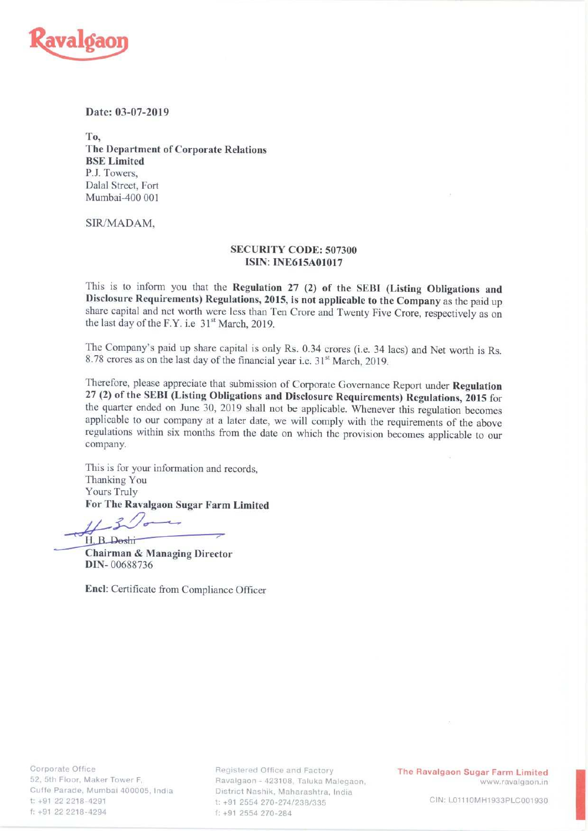

## Date: 03-07-2019

To. The Department of Corporate Relations BSE Limited P.J. Towers, Dalal Street, Fort Mumbai-400 001

SIR/MADAM,

## SECURITY CODE: 507300 **ISIN: INE615A01017**

This is to inform you that the Regulation <sup>27</sup> (2) of the SEBI (Listing Obligations and Disclosure Requirements) Regulations, 2015, is not applicable to the Company as the paid up share capital and net worth were less than Ten Crore and Twenty Five Crore, respectively as on the last day of the F.Y. i.e  $31<sup>st</sup>$  March, 2019.

The Company's paid up share capital is only Rs. 0.34 crores (i.e. 34 lacs) and Net worth is Rs. 8.78 crores as on the last day of the financial year i.e. 31<sup>st</sup> March, 2019.

Therefore, please appreciate that submission of Corporate Governance Report under Regulation <sup>27</sup> (2) of the SEBI (Listing Obligations and Disclosure Requirements) Regulations, <sup>2015</sup> for the quarter ended on June 30, <sup>2019</sup> shall not be applicable. Whenever this regulation becomes applicable to our company at <sup>a</sup> later date, we will comply with the requirements of the above regulations within six months from the date on which the provision becomes applicable to our company.

This is for your information and records, Thanking You Yours Truly For The Ravalgaon Sugar Farm Limited

H. B. Doshi

Chairman & Managing Director DIN- 00688736

Encl: Certificate from Compliance Officer

Registered Office and Factory **The Ravalgaon Sugar Farm Limited** aon - 423108, Taluka Malegar District Nashik, Maharashtra, India t: +91 2554 270-274/238/335 f: +91 2554 270-284